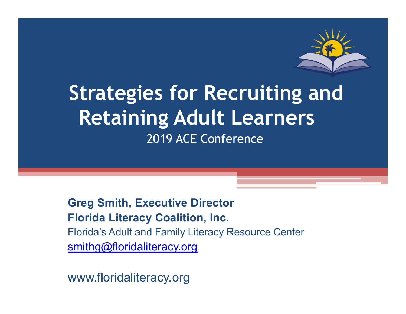

## Strategies for Recruiting and Retaining Adult Learners 2019 ACE Conference

Greg Smith, Executive Director Florida Literacy Coalition, Inc. Florida's Adult and Family Literacy Resource Center

smithg@floridaliteracy.org

www.floridaliteracy.org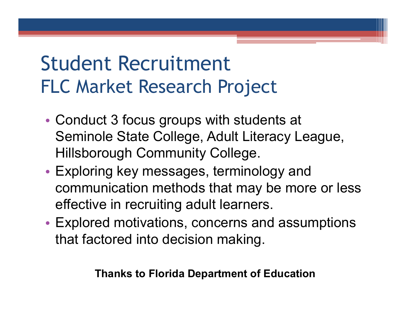# Student Recruitment FLC Market Research Project

- Conduct 3 focus groups with students at Seminole State College, Adult Literacy League, Hillsborough Community College.
- Exploring key messages, terminology and communication methods that may be more or less effective in recruiting adult learners.
- Explored motivations, concerns and assumptions that factored into decision making.

Thanks to Florida Department of Education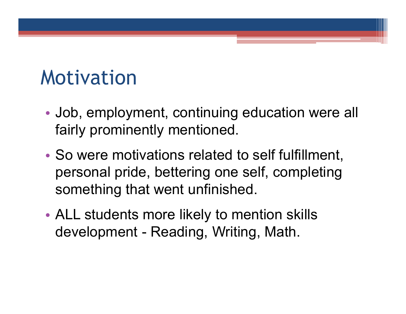# Motivation

- Job, employment, continuing education were all fairly prominently mentioned.
- So were motivations related to self fulfillment, personal pride, bettering one self, completing something that went unfinished. Job, employment, continuing education w<br>fairly prominently mentioned.<br>So were motivations related to self fulfillm<br>personal pride, bettering one self, comple<br>something that went unfinished.<br>ALL students more likely to ment
- ALL students more likely to mention skills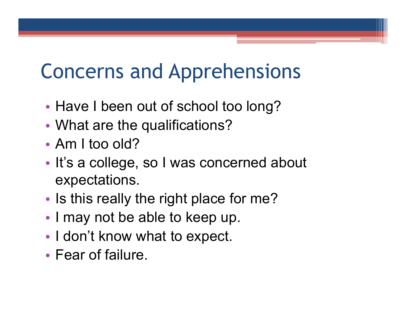# Concerns and Apprehensions

- Have I been out of school too long?
- What are the qualifications?
- Am I too old?
- It's a college, so I was concerned about expectations.
- Is this really the right place for me?
- I may not be able to keep up.
- I don't know what to expect.
- Fear of failure.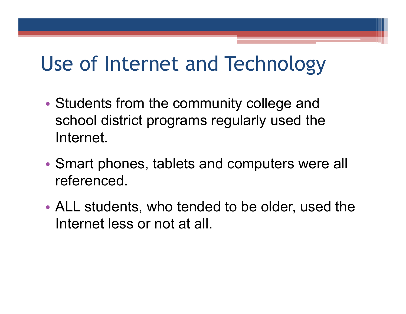# Use of Internet and Technology

- Students from the community college and school district programs regularly used the Internet.
- Smart phones, tablets and computers were all referenced.
- ALL students, who tended to be older, used the Internet less or not at all.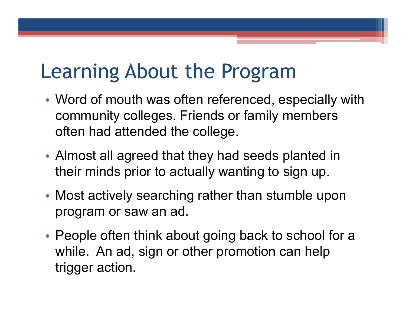# Learning About the Program

- Word of mouth was often referenced, especially with community colleges. Friends or family members often had attended the college.
- Almost all agreed that they had seeds planted in their minds prior to actually wanting to sign up.
- Most actively searching rather than stumble upon program or saw an ad.
- People often think about going back to school for a while. An ad, sign or other promotion can help trigger action.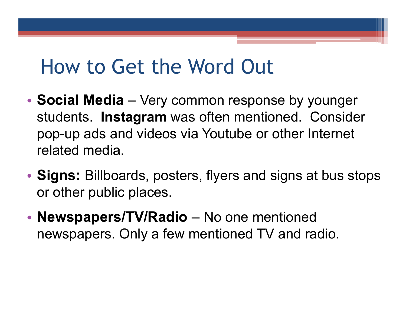## How to Get the Word Out

- Social Media Very common response by younger students. Instagram was often mentioned. Consider How to Get the Word Out<br>Social Media – Very common response by younger<br>students. Instagram was often mentioned. Consider<br>pop-up ads and videos via Youtube or other Internet<br>related media. related media.
- Signs: Billboards, posters, flyers and signs at bus stops or other public places.
- Newspapers/TV/Radio No one mentioned newspapers. Only a few mentioned TV and radio.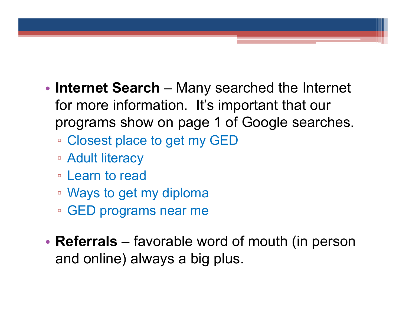- Internet Search Many searched the Internet<br>for more information. It's important that our<br>programs show on page 1 of Google searches for more information. It's important that our programs show on page 1 of Google searches.
	- Closest place to get my GED
	- Adult literacy
	- Learn to read
	- Ways to get my diploma
	- GED programs near me
- Closest place to get my GED<br>• Adult literacy<br>• Learn to read<br>• Ways to get my diploma<br>• GED programs near me<br>• Referrals favorable word of mouth (in person and online) always a big plus. and online) always a big plus.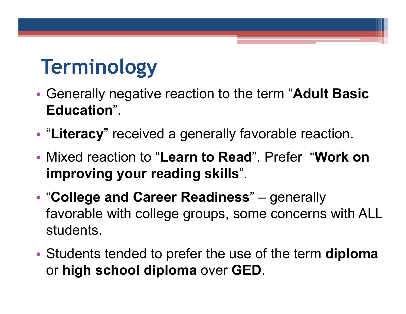# Terminology

- Generally negative reaction to the term "Adult Basic Education".
- "Literacy" received a generally favorable reaction.
- Mixed reaction to "Learn to Read". Prefer "Work on improving your reading skills".
- "College and Career Readiness" generally **Generally negative reaction to the term "Adult Basic<br>Education".<br>"Literacy" received a generally favorable reaction.<br>Mixed reaction to "Learn to Read". Prefer "Work on<br>improving your reading skills".**<br>"College and Career favorable with college groups, some concerns with ALL students.
- Students tended to prefer the use of the term diploma or high school diploma over GED.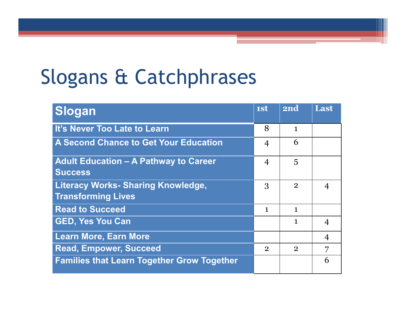# Slogans & Catchphrases

| logans & Catchphrases                                                  |                |                |                |
|------------------------------------------------------------------------|----------------|----------------|----------------|
|                                                                        |                |                |                |
| Slogan                                                                 | 1st            | 2nd            | Last           |
| It's Never Too Late to Learn                                           | 8              | $\mathbf{1}$   |                |
| A Second Chance to Get Your Education                                  | 4              | 6              |                |
| <b>Adult Education - A Pathway to Career</b><br><b>Success</b>         | $\overline{4}$ | 5              |                |
| <b>Literacy Works- Sharing Knowledge,</b><br><b>Transforming Lives</b> | 3              | $\overline{2}$ | $\overline{4}$ |
| <b>Read to Succeed</b>                                                 | $\mathbf{1}$   | $\mathbf{1}$   |                |
| <b>GED, Yes You Can</b>                                                |                | $\mathbf{1}$   | $\overline{4}$ |
|                                                                        |                |                | $\overline{4}$ |
| <b>Learn More, Earn More</b>                                           |                |                |                |
| <b>Read, Empower, Succeed</b>                                          | $\overline{2}$ | $\overline{2}$ | 7              |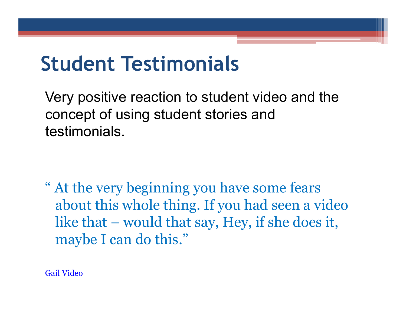# Student Testimonials

Very positive reaction to student video and the concept of using student stories and testimonials.

" At the very beginning you have some fears about this whole thing. If you had seen a video ery positive reaction to student video and the<br>pncept of using student stories and<br>stimonials.<br>At the very beginning you have some fears<br>about this whole thing. If you had seen a video<br>like that – would that say, Hey, if s maybe I can do this."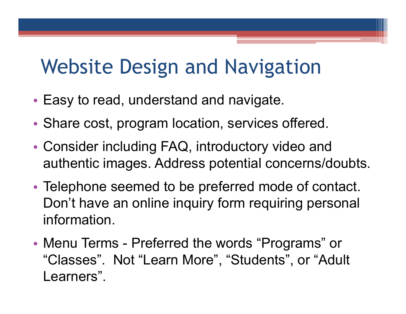# Website Design and Navigation

- Easy to read, understand and navigate.
- Share cost, program location, services offered.
- Consider including FAQ, introductory video and authentic images. Address potential concerns/doubts.
- Telephone seemed to be preferred mode of contact. Don't have an online inquiry form requiring personal information. • Share cost, program location, services offered.<br>• Consider including FAQ, introductory video and<br>authentic images. Address potential concerns/doubts.<br>• Telephone seemed to be preferred mode of contact.<br>Don't have an onli
- "Classes". Not "Learn More", "Students", or "Adult Learners".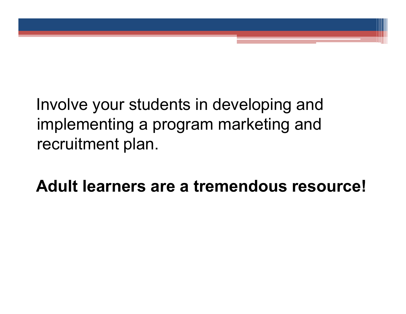Involve your students in developing and implementing a program marketing and recruitment plan.

Adult learners are a tremendous resource!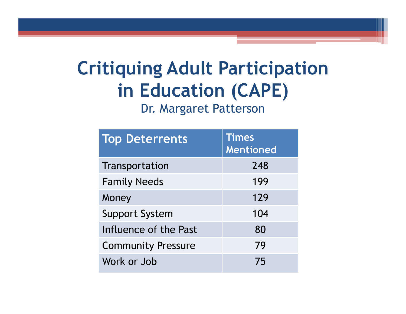## Critiquing Adult Participation in Education (CAPE)

| itiquing Adult Participation<br>in Education (CAPE)<br>Dr. Margaret Patterson |                                  |  |
|-------------------------------------------------------------------------------|----------------------------------|--|
| <b>Top Deterrents</b>                                                         | <b>Times</b><br><b>Mentioned</b> |  |
| Transportation                                                                | 248                              |  |
| <b>Family Needs</b>                                                           | 199                              |  |
| Money                                                                         | 129                              |  |
| <b>Support System</b>                                                         | 104                              |  |
| Influence of the Past                                                         | 80                               |  |
| <b>Community Pressure</b>                                                     | 79                               |  |
| Work or Job                                                                   | 75                               |  |
|                                                                               |                                  |  |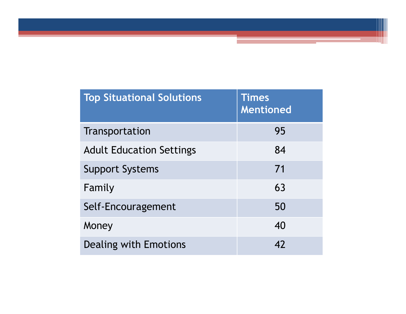| <b>Top Situational Solutions</b> | <b>Times</b><br>Mentioned |
|----------------------------------|---------------------------|
| Transportation                   | 95                        |
| <b>Adult Education Settings</b>  | 84                        |
| <b>Support Systems</b>           | 71                        |
| Family                           | 63                        |
| Self-Encouragement               | 50                        |
| Money                            | 40                        |
|                                  | 42                        |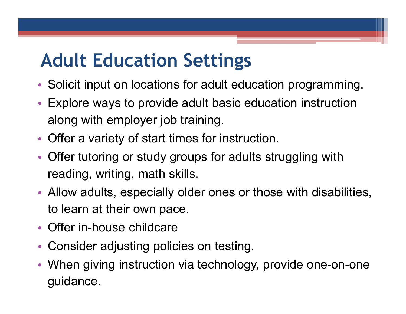## Adult Education Settings

- Solicit input on locations for adult education programming.
- Explore ways to provide adult basic education instruction along with employer job training.
- Offer a variety of start times for instruction.
- Offer tutoring or study groups for adults struggling with reading, writing, math skills.
- Allow adults, especially older ones or those with disabilities, to learn at their own pace.
- Offer in-house childcare
- Consider adjusting policies on testing.
- When giving instruction via technology, provide one-on-one guidance.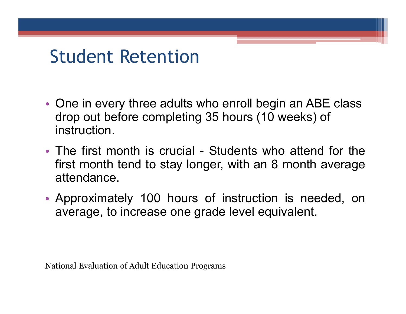## Student Retention

- One in every three adults who enroll begin an ABE class drop out before completing 35 hours (10 weeks) of instruction.
- One in every three adults who enroll begin an ABE class<br>
drop out before completing 35 hours (10 weeks) of<br>
instruction.<br>
 The first month is crucial Students who attend for the<br>
first month tend to stay longer, with First Montrian Controllery<br>
The intervery three adults who enroll begin an ABE class<br>
drop out before completing 35 hours (10 weeks) of<br>
instruction.<br>
The first month is crucial - Students who attend for the<br>
first month t attendance. • One in every three adults who enroll begin an ABE class<br>drop out before completing 35 hours (10 weeks) of<br>instruction.<br>• The first month is crucial - Students who attend for the<br>first month tend to stay longer, with an 8 One in every three adults who enroll begin an ABE class<br>drop out before completing 35 hours (10 weeks) of<br>instruction.<br>The first month is crucial - Students who attend for the<br>first month tend to stay longer, with an 8 mon • The first month is crucial - Students who attend for th<br>first month tend to stay longer, with an 8 month average<br>attendance.<br>• Approximately 100 hours of instruction is needed, of<br>average, to increase one grade level equ
-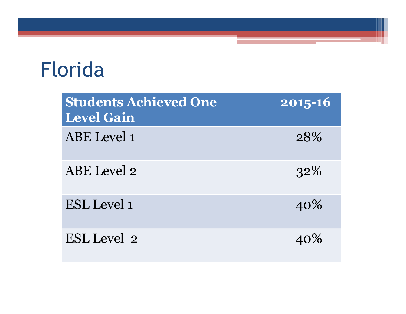# Florida

| orida                                             |                        |
|---------------------------------------------------|------------------------|
| <b>Students Achieved One</b><br><b>Level Gain</b> | $\overline{2015} - 16$ |
| ABE Level 1                                       | 28%                    |
| ABE Level 2                                       | 32%                    |
| ESL Level 1                                       | 40%                    |
| ESL Level 2                                       | 40%                    |
|                                                   |                        |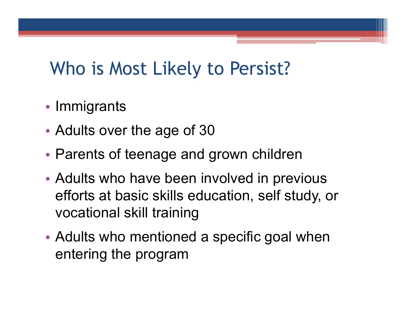## Who is Most Likely to Persist?

- Immigrants
- Adults over the age of 30
- Parents of teenage and grown children
- Adults who have been involved in previous efforts at basic skills education, self study, or vocational skill training
- Adults who mentioned a specific goal when entering the program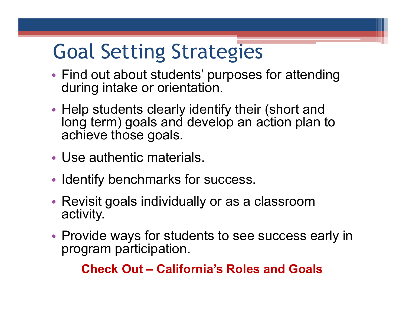# Goal Setting Strategies

- Find out about students' purposes for attending during intake or orientation.
- Help students clearly identify their (short and long term) goals and develop an action plan to achieve those goals.
- Use authentic materials.
- Identify benchmarks for success.
- Revisit goals individually or as a classroom activity.
- Provide ways for students to see success early in program participation. Pauthentic materials.<br>
Pauthentic materials.<br>
The parameters and Constanting and Schering Wity.<br>
The ways for students to see success ea<br>
Scheck Out – California's Roles and Goals<br>
Check Out – California's Roles and Goals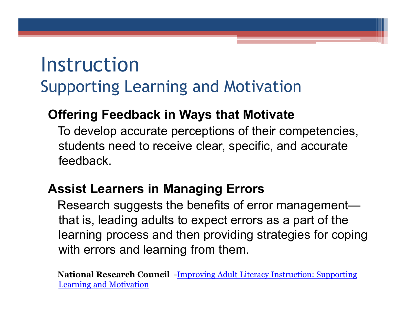## Instruction Supporting Learning and Motivation

#### Offering Feedback in Ways that Motivate

To develop accurate perceptions of their competencies, students need to receive clear, specific, and accurate feedback.

#### Assist Learners in Managing Errors

Research suggests the benefits of error management that is, leading adults to expect errors as a part of the learning process and then providing strategies for coping with errors and learning from them.

National Research Council -Improving Adult Literacy Instruction: Supporting Learning and Motivation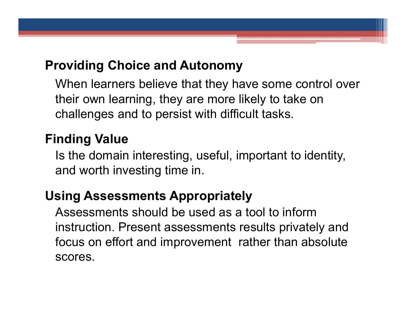#### Providing Choice and Autonomy

When learners believe that they have some control over their own learning, they are more likely to take on challenges and to persist with difficult tasks.

#### Finding Value

Is the domain interesting, useful, important to identity, and worth investing time in.

#### Using Assessments Appropriately

Assessments should be used as a tool to inform instruction. Present assessments results privately and focus on effort and improvement rather than absolute scores.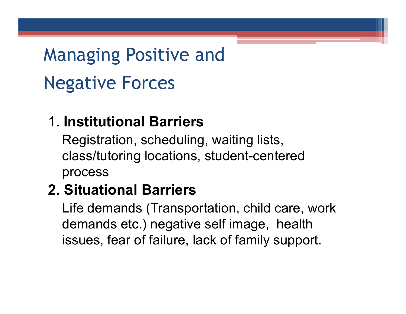# Managing Positive and Negative Forces

#### 1. Institutional Barriers

Registration, scheduling, waiting lists, class/tutoring locations, student-centered process

#### 2. Situational Barriers

Life demands (Transportation, child care, work demands etc.) negative self image, health issues, fear of failure, lack of family support.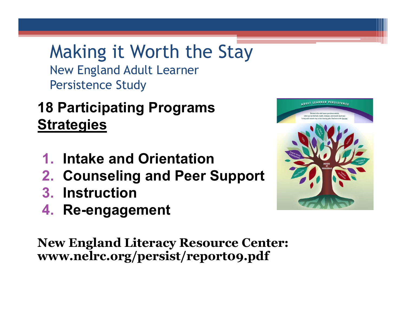Making it Worth the Stay New England Adult Learner Persistence Study

### 18 Participating Programs **Strategies**

- 1. Intake and Orientation
- 2. Counseling and Peer Support
- 3. Instruction
- 4. Re-engagement

New England Literacy Resource Center: www.nelrc.org/persist/report09.pdf

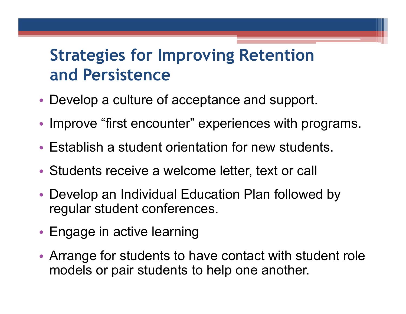## Strategies for Improving Retention and Persistence

- Develop a culture of acceptance and support.
- Improve "first encounter" experiences with programs.
- Establish a student orientation for new students.
- Students receive a welcome letter, text or call
- Develop an Individual Education Plan followed by regular student conferences.
- Engage in active learning
- Arrange for students to have contact with student role models or pair students to help one another.